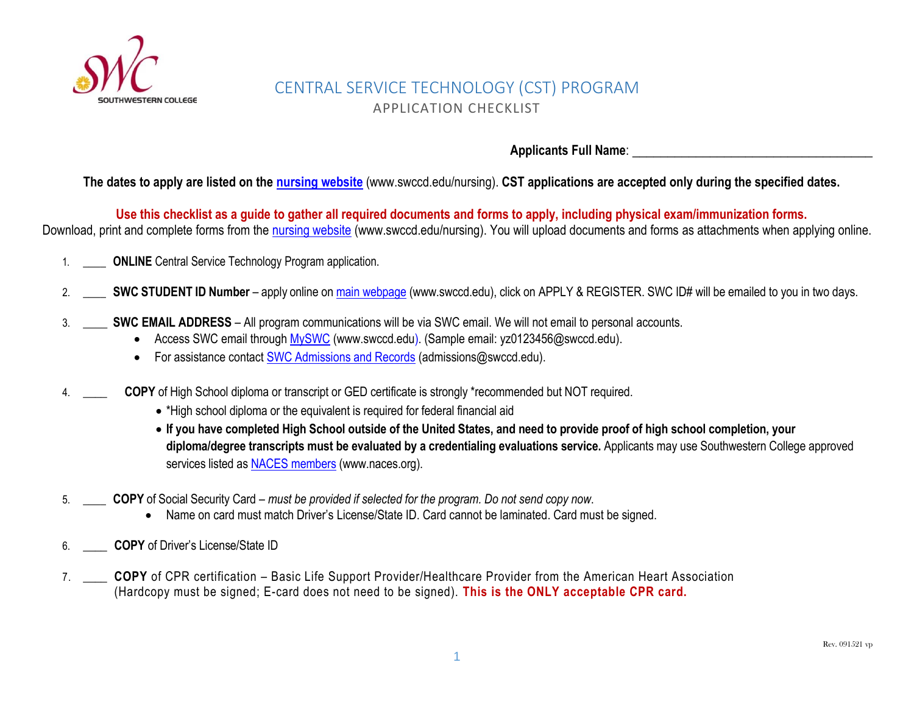

# CENTRAL SERVICE TECHNOLOGY (CST) PROGRAM APPLICATION CHECKLIST

Applicants Full Name:

**The dates to apply are listed on the [nursing website](https://www.swccd.edu/programs-and-academics/career-education/health/central-service-technology/index.aspx)** (www.swccd.edu/nursing). **CST applications are accepted only during the specified dates.**

**Use this checklist as a guide to gather all required documents and forms to apply, including physical exam/immunization forms.**

Download, print and complete forms from the [nursing website](https://www.swccd.edu/programs-and-academics/career-education/health/central-service-technology/index.aspx) (www.swccd.edu/nursing). You will upload documents and forms as attachments when applying online.

- 1. \_\_\_\_ **ONLINE** Central Service Technology Program application.
- 2. \_\_\_\_ **SWC STUDENT ID Number** apply online on [main webpage](https://www.swccd.edu/) (www.swccd.edu), click on APPLY & REGISTER. SWC ID# will be emailed to you in two days.
- 3. \_\_\_\_ **SWC EMAIL ADDRESS**  All program communications will be via SWC email. We will not email to personal accounts.
	- Access SWC email through [MySWC](https://sso.swccd.edu/go/login.aspx?ReturnUrl=%2Fsso%2Fgo.ashx%3Fwa%3Dwsignin1.0%26wtrealm%3Durn%253asharepoint%253asso%26wctx%3Dhttps%253a%252f%252fmy.swccd.edu%252f_layouts%252f15%252fAuthenticate.aspx%253fSource%253d%25252F) (www.swccd.edu). (Sample email: yz0123456@swccd.edu).
	- For assistance contact [SWC Admissions and Records](https://www.swccd.edu/admissions-and-financial-aid/apply-and-register.aspx) (admissions@swccd.edu).
- 4. \_\_\_\_ **COPY** of High School diploma or transcript or GED certificate is strongly \*recommended but NOT required.
	- \*High school diploma or the equivalent is required for federal financial aid
	- **If you have completed High School outside of the United States, and need to provide proof of high school completion, your diploma/degree transcripts must be evaluated by a credentialing evaluations service.** Applicants may use Southwestern College approved services listed a[s NACES members](https://www.naces.org/members) (www.naces.org).
- 5. \_\_\_\_ **COPY** of Social Security Card *must be provided if selected for the program. Do not send copy now*.
	- Name on card must match Driver's License/State ID. Card cannot be laminated. Card must be signed.
- 6. \_\_\_\_ **COPY** of Driver's License/State ID
- 7. \_\_\_\_ **COPY** of CPR certification Basic Life Support Provider/Healthcare Provider from the American Heart Association (Hardcopy must be signed; E-card does not need to be signed). **This is the ONLY acceptable CPR card.**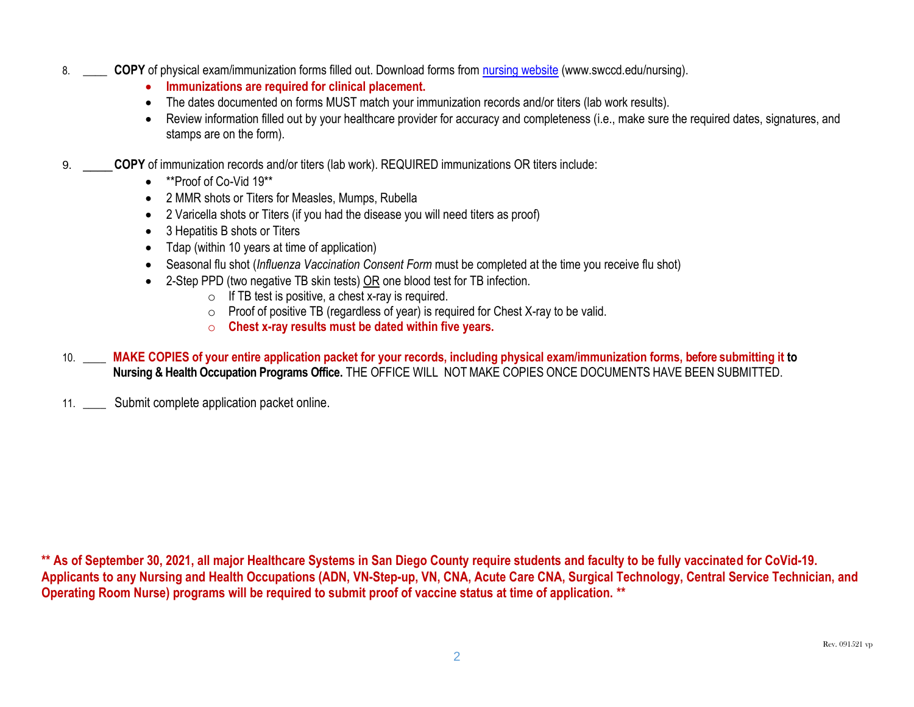- 8. \_\_\_\_ **COPY** of physical exam/immunization forms filled out. Download forms from [nursing website](https://www.swccd.edu/locations/higher-education-center-at-otay-mesa/programs/nursing/central-service-technology/index.aspx) (www.swccd.edu/nursing).
	- **Immunizations are required for clinical placement.**
	- The dates documented on forms MUST match your immunization records and/or titers (lab work results).
	- Review information filled out by your healthcare provider for accuracy and completeness (i.e., make sure the required dates, signatures, and stamps are on the form).
- 9. \_\_\_\_**COPY** of immunization records and/or titers (lab work). REQUIRED immunizations OR titers include:
	- \*\*Proof of Co-Vid 19\*\*
	- 2 MMR shots or Titers for Measles, Mumps, Rubella
	- 2 Varicella shots or Titers (if you had the disease you will need titers as proof)
	- 3 Hepatitis B shots or Titers
	- Tdap (within 10 years at time of application)
	- Seasonal flu shot (*Influenza Vaccination Consent Form* must be completed at the time you receive flu shot)
	- 2-Step PPD (two negative TB skin tests) OR one blood test for TB infection.
		- $\circ$  If TB test is positive, a chest x-ray is required.
		- o Proof of positive TB (regardless of year) is required for Chest X-ray to be valid.
		- o **Chest x-ray results must be dated within five years.**
- 10. \_\_\_\_ **MAKE COPIES of your entire application packet for your records, including physical exam/immunization forms, before submitting it to Nursing & Health Occupation Programs Office.** THE OFFICE WILL NOT MAKE COPIES ONCE DOCUMENTS HAVE BEEN SUBMITTED.

11. \_\_\_\_ Submit complete application packet online.

**\*\* As of September 30, 2021, all major Healthcare Systems in San Diego County require students and faculty to be fully vaccinated for CoVid-19. Applicants to any Nursing and Health Occupations (ADN, VN-Step-up, VN, CNA, Acute Care CNA, Surgical Technology, Central Service Technician, and Operating Room Nurse) programs will be required to submit proof of vaccine status at time of application. \*\***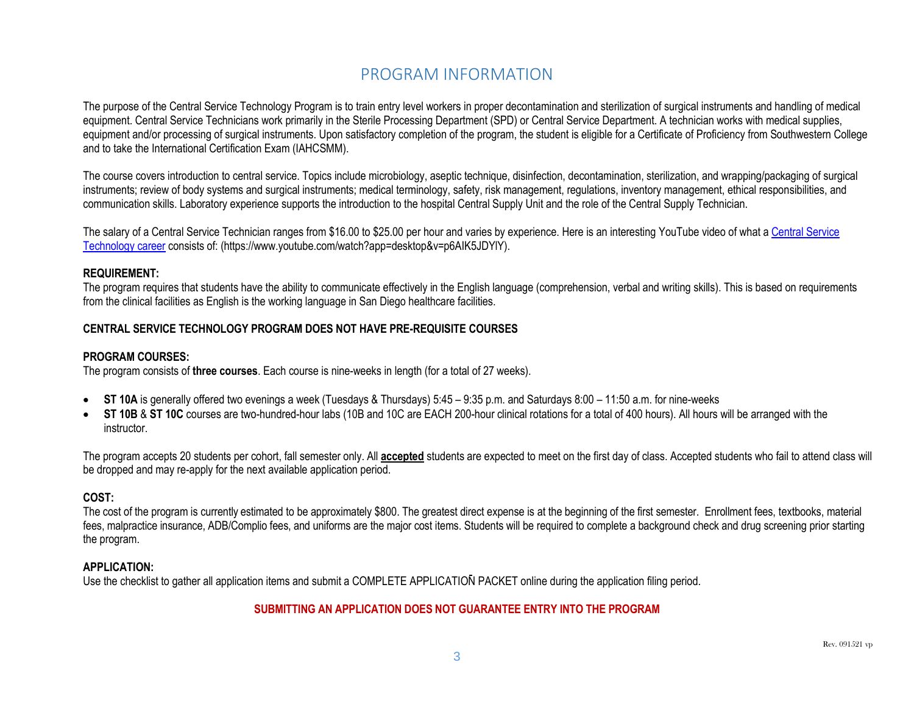## PROGRAM INFORMATION

The purpose of the Central Service Technology Program is to train entry level workers in proper decontamination and sterilization of surgical instruments and handling of medical equipment. Central Service Technicians work primarily in the Sterile Processing Department (SPD) or Central Service Department. A technician works with medical supplies, equipment and/or processing of surgical instruments. Upon satisfactory completion of the program, the student is eligible for a Certificate of Proficiency from Southwestern College and to take the International Certification Exam (IAHCSMM).

The course covers introduction to central service. Topics include microbiology, aseptic technique, disinfection, decontamination, sterilization, and wrapping/packaging of surgical instruments; review of body systems and surgical instruments; medical terminology, safety, risk management, regulations, inventory management, ethical responsibilities, and communication skills. Laboratory experience supports the introduction to the hospital Central Supply Unit and the role of the Central Supply Technician.

The salary of a Central Service Technician ranges from \$16.00 to \$25.00 per hour and varies by experience. Here is an interesting YouTube video of what [a Central Service](https://www.youtube.com/watch?app=desktop&v=p6AIK5JDYlY)  [Technology career](https://www.youtube.com/watch?app=desktop&v=p6AIK5JDYlY) consists of: (https://www.youtube.com/watch?app=desktop&v=p6AIK5JDYlY).

#### **REQUIREMENT:**

The program requires that students have the ability to communicate effectively in the English language (comprehension, verbal and writing skills). This is based on requirements from the clinical facilities as English is the working language in San Diego healthcare facilities.

### **CENTRAL SERVICE TECHNOLOGY PROGRAM DOES NOT HAVE PRE-REQUISITE COURSES**

#### **PROGRAM COURSES:**

The program consists of **three courses**. Each course is nine-weeks in length (for a total of 27 weeks).

- ST 10A is generally offered two evenings a week (Tuesdays & Thursdays) 5:45 9:35 p.m. and Saturdays 8:00 11:50 a.m. for nine-weeks
- **ST 10B** & **ST 10C** courses are two-hundred-hour labs (10B and 10C are EACH 200-hour clinical rotations for a total of 400 hours). All hours will be arranged with the instructor.

The program accepts 20 students per cohort, fall semester only. All **accepted** students are expected to meet on the first day of class. Accepted students who fail to attend class will be dropped and may re-apply for the next available application period.

## **COST:**

The cost of the program is currently estimated to be approximately \$800. The greatest direct expense is at the beginning of the first semester. Enrollment fees, textbooks, material fees, malpractice insurance, ADB/Complio fees, and uniforms are the major cost items. Students will be required to complete a background check and drug screening prior starting the program.

#### **APPLICATION:**

Use the checklist to gather all application items and submit a COMPLETE APPLICATION PACKET online during the application filing period.

## **SUBMITTING AN APPLICATION DOES NOT GUARANTEE ENTRY INTO THE PROGRAM**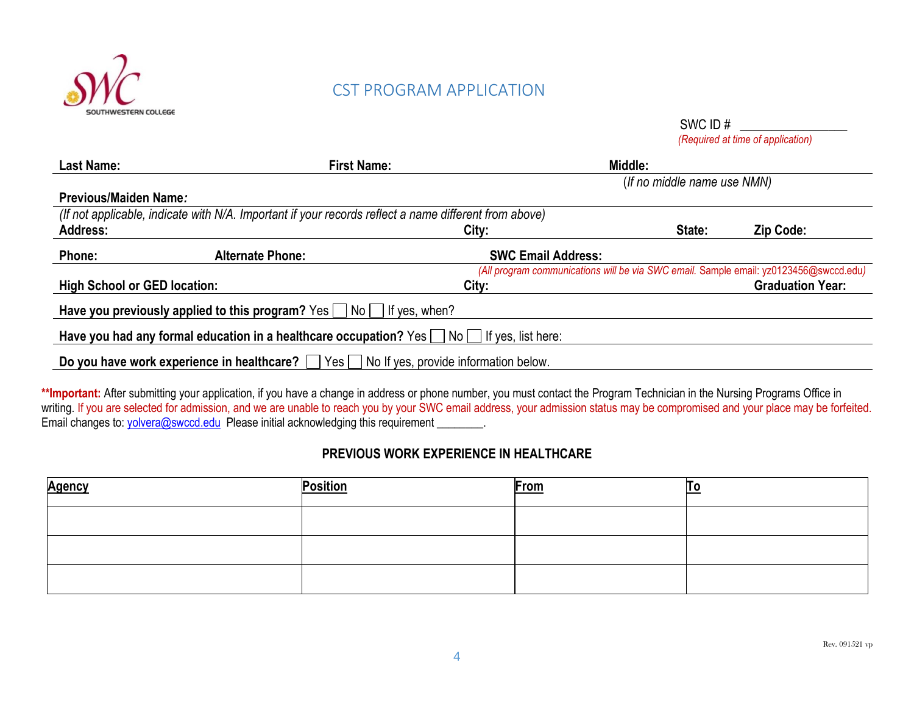

## **CST PROGRAM APPLICATION**

SWC ID # \_\_\_\_\_\_\_\_\_\_\_\_\_\_\_\_\_

 *(Required at time of application)*

| <b>Last Name:</b>                   | <b>First Name:</b>                                                                                    |                                       | Middle: |                                                                                       |
|-------------------------------------|-------------------------------------------------------------------------------------------------------|---------------------------------------|---------|---------------------------------------------------------------------------------------|
|                                     |                                                                                                       | (If no middle name use NMN)           |         |                                                                                       |
| Previous/Maiden Name:               |                                                                                                       |                                       |         |                                                                                       |
|                                     | (If not applicable, indicate with N/A. Important if your records reflect a name different from above) |                                       |         |                                                                                       |
| <b>Address:</b>                     |                                                                                                       | City:                                 | State:  | Zip Code:                                                                             |
| Phone:                              | <b>Alternate Phone:</b>                                                                               | <b>SWC Email Address:</b>             |         |                                                                                       |
|                                     |                                                                                                       |                                       |         | (All program communications will be via SWC email. Sample email: yz0123456@swccd.edu) |
| <b>High School or GED location:</b> |                                                                                                       | City:                                 |         | <b>Graduation Year:</b>                                                               |
|                                     | Have you previously applied to this program? Yes $\Box$ No $\Box$ If yes, when?                       |                                       |         |                                                                                       |
|                                     | Have you had any formal education in a healthcare occupation? Yes   No   If yes, list here:           |                                       |         |                                                                                       |
|                                     | Do you have work experience in healthcare? $\Box$<br>Yes                                              | No If yes, provide information below. |         |                                                                                       |

\*\*Important: After submitting your application, if you have a change in address or phone number, you must contact the Program Technician in the Nursing Programs Office in writing. If you are selected for admission, and we are unable to reach you by your SWC email address, your admission status may be compromised and your place may be forfeited. Email changes to: [yolvera@swccd.edu](mailto:yolvera@swccd.edu) Please initial acknowledging this requirement \_\_\_\_\_\_\_.

## **PREVIOUS WORK EXPERIENCE IN HEALTHCARE**

| <b>Agency</b> | <b>Position</b> | <b>From</b> |  |
|---------------|-----------------|-------------|--|
|               |                 |             |  |
|               |                 |             |  |
|               |                 |             |  |